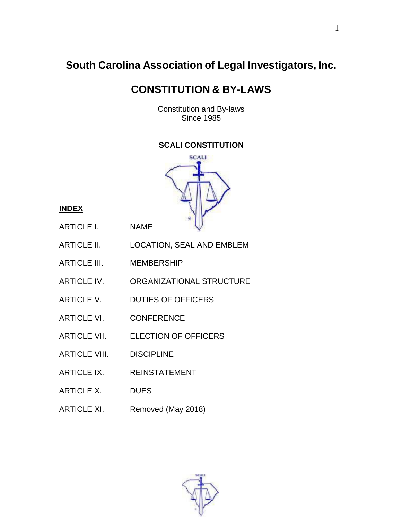# **South Carolina Association of Legal Investigators, Inc.**

# **CONSTITUTION & BY-LAWS**

Constitution and By-laws Since 1985

## **SCALI CONSTITUTION**



## **INDEX**

- ARTICLE I. NAME
- ARTICLE II. LOCATION, SEAL AND EMBLEM
- ARTICLE III. MEMBERSHIP
- ARTICLE IV. ORGANIZATIONAL STRUCTURE
- ARTICLE V. DUTIES OF OFFICERS
- ARTICLE VI. CONFERENCE
- ARTICLE VII. ELECTION OF OFFICERS
- ARTICLE VIII. DISCIPLINE
- ARTICLE IX. REINSTATEMENT
- ARTICLE X. DUES
- ARTICLE XI. Removed (May 2018)

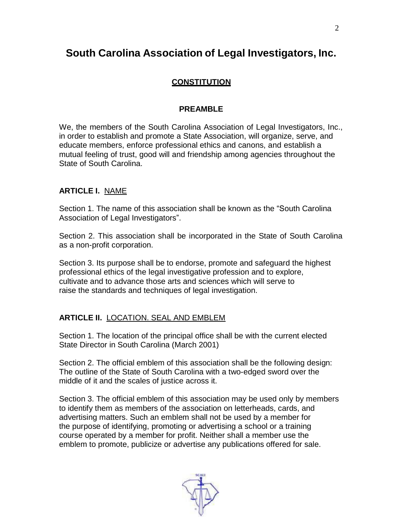## **South Carolina Association of Legal Investigators, Inc.**

## **CONSTITUTION**

#### **PREAMBLE**

We, the members of the South Carolina Association of Legal Investigators, Inc., in order to establish and promote a State Association, will organize, serve, and educate members, enforce professional ethics and canons, and establish a mutual feeling of trust, good will and friendship among agencies throughout the State of South Carolina.

## **ARTICLE I.** NAME

Section 1. The name of this association shall be known as the "South Carolina Association of Legal Investigators".

Section 2. This association shall be incorporated in the State of South Carolina as a non-profit corporation.

Section 3. Its purpose shall be to endorse, promote and safeguard the highest professional ethics of the legal investigative profession and to explore, cultivate and to advance those arts and sciences which will serve to raise the standards and techniques of legal investigation.

## **ARTICLE II.** LOCATION. SEAL AND EMBLEM

Section 1. The location of the principal office shall be with the current elected State Director in South Carolina (March 2001)

Section 2. The official emblem of this association shall be the following design: The outline of the State of South Carolina with a two-edged sword over the middle of it and the scales of justice across it.

Section 3. The official emblem of this association may be used only by members to identify them as members of the association on letterheads, cards, and advertising matters. Such an emblem shall not be used by a member for the purpose of identifying, promoting or advertising a school or a training course operated by a member for profit. Neither shall a member use the emblem to promote, publicize or advertise any publications offered for sale.

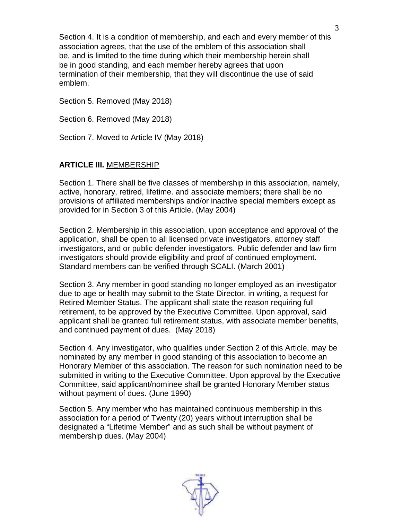Section 4. It is a condition of membership, and each and every member of this association agrees, that the use of the emblem of this association shall be, and is limited to the time during which their membership herein shall be in good standing, and each member hereby agrees that upon termination of their membership, that they will discontinue the use of said emblem.

Section 5. Removed (May 2018)

Section 6. Removed (May 2018)

Section 7. Moved to Article IV (May 2018)

#### **ARTICLE III.** MEMBERSHIP

Section 1. There shall be five classes of membership in this association, namely, active, honorary, retired, lifetime. and associate members; there shall be no provisions of affiliated memberships and/or inactive special members except as provided for in Section 3 of this Article. (May 2004)

Section 2. Membership in this association, upon acceptance and approval of the application, shall be open to all licensed private investigators, attorney staff investigators, and or public defender investigators. Public defender and law firm investigators should provide eligibility and proof of continued employment. Standard members can be verified through SCALI. (March 2001)

Section 3. Any member in good standing no longer employed as an investigator due to age or health may submit to the State Director, in writing, a request for Retired Member Status. The applicant shall state the reason requiring full retirement, to be approved by the Executive Committee. Upon approval, said applicant shall be granted full retirement status, with associate member benefits, and continued payment of dues. (May 2018)

Section 4. Any investigator, who qualifies under Section 2 of this Article, may be nominated by any member in good standing of this association to become an Honorary Member of this association. The reason for such nomination need to be submitted in writing to the Executive Committee. Upon approval by the Executive Committee, said applicant/nominee shall be granted Honorary Member status without payment of dues. (June 1990)

Section 5. Any member who has maintained continuous membership in this association for a period of Twenty (20) years without interruption shall be designated a "Lifetime Member" and as such shall be without payment of membership dues. (May 2004)

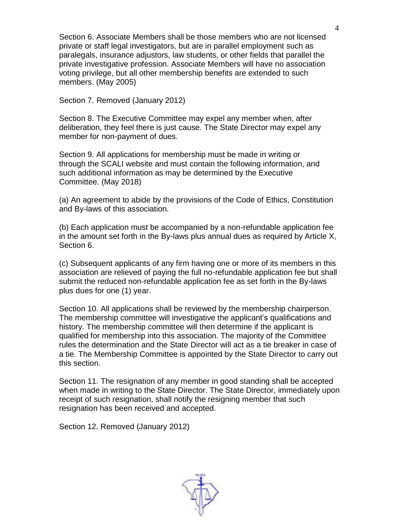Section 6. Associate Members shall be those members who are not licensed private or staff legal investigators, but are in parallel employment such as paralegals, insurance adjustors, law students, or other fields that parallel the private investigative profession. Associate Members will have no association voting privilege, but all other membership benefits are extended to such members. (May 2005)

Section 7. Removed (January 2012)

Section 8. The Executive Committee may expel any member when, after deliberation, they feel there is just cause. The State Director may expel any member for non-payment of dues.

Section 9. All applications for membership must be made in writing or through the SCALI website and must contain the following information, and such additional information as may be determined by the Executive Committee. (May 2018)

(a) An agreement to abide by the provisions of the Code of Ethics, Constitution and By-laws of this association.

(b) Each application must be accompanied by a non-refundable application fee in the amount set forth in the By-laws plus annual dues as required by Article X, Section 6.

(c) Subsequent applicants of any firm having one or more of its members in this association are relieved of paying the full no-refundable application fee but shall submit the reduced non-refundable application fee as set forth in the By-laws plus dues for one (1) year.

Section 10. All applications shall be reviewed by the membership chairperson. The membership committee will investigative the applicant's qualifications and history. The membership committee will then determine if the applicant is qualified for membership into this association. The majority of the Committee rules the determination and the State Director will act as a tie breaker in case of a tie. The Membership Committee is appointed by the State Director to carry out this section.

Section 11. The resignation of any member in good standing shall be accepted when made in writing to the State Director. The State Director, immediately upon receipt of such resignation, shall notify the resigning member that such resignation has been received and accepted.

Section 12. Removed (January 2012)

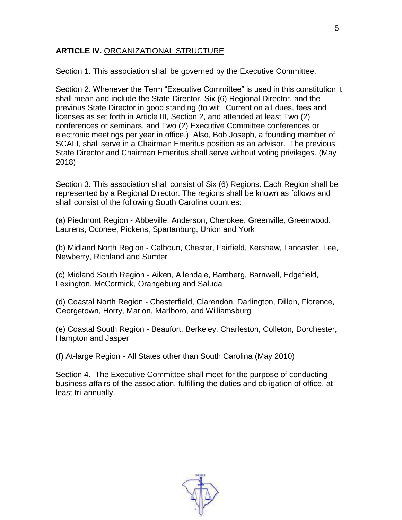#### **ARTICLE IV.** ORGANIZATIONAL STRUCTURE

Section 1. This association shall be governed by the Executive Committee.

Section 2. Whenever the Term "Executive Committee" is used in this constitution it shall mean and include the State Director, Six (6) Regional Director, and the previous State Director in good standing (to wit: Current on all dues, fees and licenses as set forth in Article III, Section 2, and attended at least Two (2) conferences or seminars, and Two (2) Executive Committee conferences or electronic meetings per year in office.) Also, Bob Joseph, a founding member of SCALI, shall serve in a Chairman Emeritus position as an advisor. The previous State Director and Chairman Emeritus shall serve without voting privileges. (May 2018)

Section 3. This association shall consist of Six (6) Regions. Each Region shall be represented by a Regional Director. The regions shall be known as follows and shall consist of the following South Carolina counties:

(a) Piedmont Region - Abbeville, Anderson, Cherokee, Greenville, Greenwood, Laurens, Oconee, Pickens, Spartanburg, Union and York

(b) Midland North Region - Calhoun, Chester, Fairfield, Kershaw, Lancaster, Lee, Newberry, Richland and Sumter

(c) Midland South Region - Aiken, Allendale, Bamberg, Barnwell, Edgefield, Lexington, McCormick, Orangeburg and Saluda

(d) Coastal North Region - Chesterfield, Clarendon, Darlington, Dillon, Florence, Georgetown, Horry, Marion, Marlboro, and Williamsburg

(e) Coastal South Region - Beaufort, Berkeley, Charleston, Colleton, Dorchester, Hampton and Jasper

(f) At-large Region - All States other than South Carolina (May 2010)

Section 4. The Executive Committee shall meet for the purpose of conducting business affairs of the association, fulfilling the duties and obligation of office, at least tri-annually.

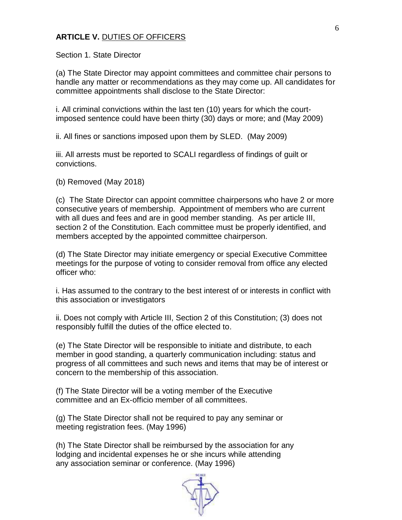#### **ARTICLE V.** DUTIES OF OFFICERS

Section 1. State Director

(a) The State Director may appoint committees and committee chair persons to handle any matter or recommendations as they may come up. All candidates for committee appointments shall disclose to the State Director:

i. All criminal convictions within the last ten (10) years for which the courtimposed sentence could have been thirty (30) days or more; and (May 2009)

ii. All fines or sanctions imposed upon them by SLED. (May 2009)

iii. All arrests must be reported to SCALI regardless of findings of guilt or convictions.

(b) Removed (May 2018)

(c) The State Director can appoint committee chairpersons who have 2 or more consecutive years of membership. Appointment of members who are current with all dues and fees and are in good member standing. As per article III, section 2 of the Constitution. Each committee must be properly identified, and members accepted by the appointed committee chairperson.

(d) The State Director may initiate emergency or special Executive Committee meetings for the purpose of voting to consider removal from office any elected officer who:

i. Has assumed to the contrary to the best interest of or interests in conflict with this association or investigators

ii. Does not comply with Article III, Section 2 of this Constitution; (3) does not responsibly fulfill the duties of the office elected to.

(e) The State Director will be responsible to initiate and distribute, to each member in good standing, a quarterly communication including: status and progress of all committees and such news and items that may be of interest or concern to the membership of this association.

(f) The State Director will be a voting member of the Executive committee and an Ex-officio member of all committees.

(g) The State Director shall not be required to pay any seminar or meeting registration fees. (May 1996)

(h) The State Director shall be reimbursed by the association for any lodging and incidental expenses he or she incurs while attending any association seminar or conference. (May 1996)

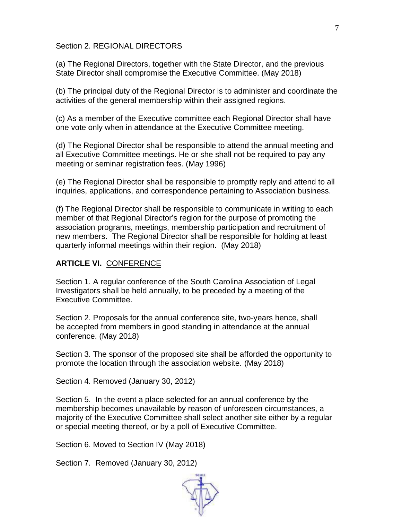#### Section 2. REGIONAL DIRECTORS

(a) The Regional Directors, together with the State Director, and the previous State Director shall compromise the Executive Committee. (May 2018)

(b) The principal duty of the Regional Director is to administer and coordinate the activities of the general membership within their assigned regions.

(c) As a member of the Executive committee each Regional Director shall have one vote only when in attendance at the Executive Committee meeting.

(d) The Regional Director shall be responsible to attend the annual meeting and all Executive Committee meetings. He or she shall not be required to pay any meeting or seminar registration fees. (May 1996)

(e) The Regional Director shall be responsible to promptly reply and attend to all inquiries, applications, and correspondence pertaining to Association business.

(f) The Regional Director shall be responsible to communicate in writing to each member of that Regional Director's region for the purpose of promoting the association programs, meetings, membership participation and recruitment of new members. The Regional Director shall be responsible for holding at least quarterly informal meetings within their region. (May 2018)

#### **ARTICLE VI.** CONFERENCE

Section 1. A regular conference of the South Carolina Association of Legal Investigators shall be held annually, to be preceded by a meeting of the Executive Committee.

Section 2. Proposals for the annual conference site, two-years hence, shall be accepted from members in good standing in attendance at the annual conference. (May 2018)

Section 3. The sponsor of the proposed site shall be afforded the opportunity to promote the location through the association website. (May 2018)

Section 4. Removed (January 30, 2012)

Section 5. In the event a place selected for an annual conference by the membership becomes unavailable by reason of unforeseen circumstances, a majority of the Executive Committee shall select another site either by a regular or special meeting thereof, or by a poll of Executive Committee.

Section 6. Moved to Section IV (May 2018)

Section 7. Removed (January 30, 2012)

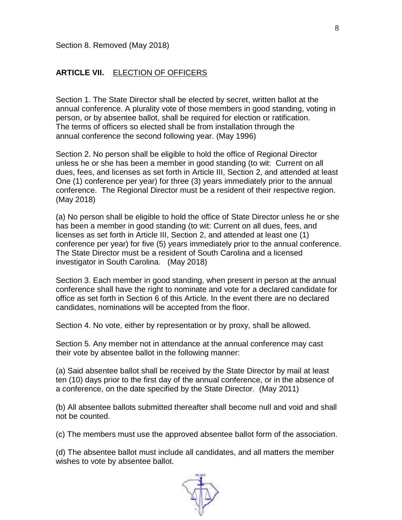#### **ARTICLE VII.** ELECTION OF OFFICERS

Section 1. The State Director shall be elected by secret, written ballot at the annual conference. A plurality vote of those members in good standing, voting in person, or by absentee ballot, shall be required for election or ratification. The terms of officers so elected shall be from installation through the annual conference the second following year. (May 1996)

Section 2. No person shall be eligible to hold the office of Regional Director unless he or she has been a member in good standing (to wit: Current on all dues, fees, and licenses as set forth in Article III, Section 2, and attended at least One (1) conference per year) for three (3) years immediately prior to the annual conference. The Regional Director must be a resident of their respective region. (May 2018)

(a) No person shall be eligible to hold the office of State Director unless he or she has been a member in good standing (to wit: Current on all dues, fees, and licenses as set forth in Article III, Section 2, and attended at least one (1) conference per year) for five (5) years immediately prior to the annual conference. The State Director must be a resident of South Carolina and a licensed investigator in South Carolina. (May 2018)

Section 3. Each member in good standing, when present in person at the annual conference shall have the right to nominate and vote for a declared candidate for office as set forth in Section 6 of this Article. In the event there are no declared candidates, nominations will be accepted from the floor.

Section 4. No vote, either by representation or by proxy, shall be allowed.

Section 5. Any member not in attendance at the annual conference may cast their vote by absentee ballot in the following manner:

(a) Said absentee ballot shall be received by the State Director by mail at least ten (10) days prior to the first day of the annual conference, or in the absence of a conference, on the date specified by the State Director. (May 2011)

(b) All absentee ballots submitted thereafter shall become null and void and shall not be counted.

(c) The members must use the approved absentee ballot form of the association.

(d) The absentee ballot must include all candidates, and all matters the member wishes to vote by absentee ballot.

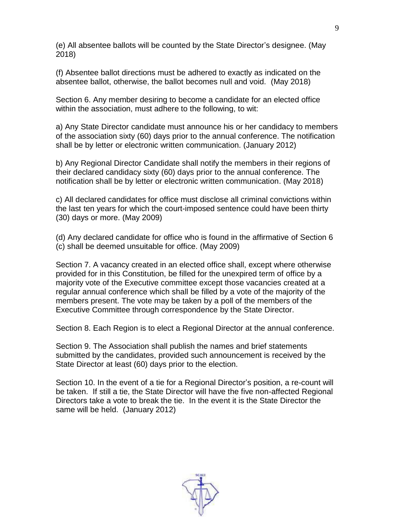(e) All absentee ballots will be counted by the State Director's designee. (May 2018)

(f) Absentee ballot directions must be adhered to exactly as indicated on the absentee ballot, otherwise, the ballot becomes null and void. (May 2018)

Section 6. Any member desiring to become a candidate for an elected office within the association, must adhere to the following, to wit:

a) Any State Director candidate must announce his or her candidacy to members of the association sixty (60) days prior to the annual conference. The notification shall be by letter or electronic written communication. (January 2012)

b) Any Regional Director Candidate shall notify the members in their regions of their declared candidacy sixty (60) days prior to the annual conference. The notification shall be by letter or electronic written communication. (May 2018)

c) All declared candidates for office must disclose all criminal convictions within the last ten years for which the court-imposed sentence could have been thirty (30) days or more. (May 2009)

(d) Any declared candidate for office who is found in the affirmative of Section 6 (c) shall be deemed unsuitable for office. (May 2009)

Section 7. A vacancy created in an elected office shall, except where otherwise provided for in this Constitution, be filled for the unexpired term of office by a majority vote of the Executive committee except those vacancies created at a regular annual conference which shall be filled by a vote of the majority of the members present. The vote may be taken by a poll of the members of the Executive Committee through correspondence by the State Director.

Section 8. Each Region is to elect a Regional Director at the annual conference.

Section 9. The Association shall publish the names and brief statements submitted by the candidates, provided such announcement is received by the State Director at least (60) days prior to the election.

Section 10. In the event of a tie for a Regional Director's position, a re-count will be taken. If still a tie, the State Director will have the five non-affected Regional Directors take a vote to break the tie. In the event it is the State Director the same will be held. (January 2012)

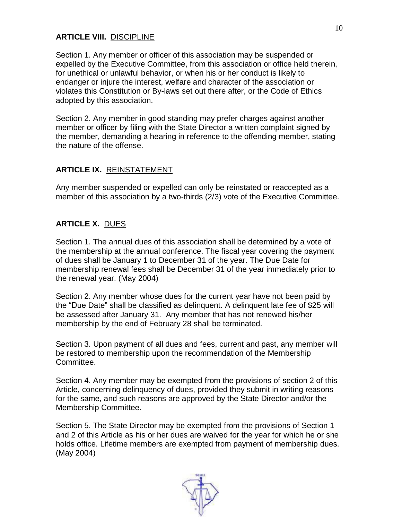## **ARTICLE VIII.** DISCIPLINE

Section 1. Any member or officer of this association may be suspended or expelled by the Executive Committee, from this association or office held therein, for unethical or unlawful behavior, or when his or her conduct is likely to endanger or injure the interest, welfare and character of the association or violates this Constitution or By-laws set out there after, or the Code of Ethics adopted by this association.

Section 2. Any member in good standing may prefer charges against another member or officer by filing with the State Director a written complaint signed by the member, demanding a hearing in reference to the offending member, stating the nature of the offense.

## **ARTICLE IX.** REINSTATEMENT

Any member suspended or expelled can only be reinstated or reaccepted as a member of this association by a two-thirds (2/3) vote of the Executive Committee.

## **ARTICLE X.** DUES

Section 1. The annual dues of this association shall be determined by a vote of the membership at the annual conference. The fiscal year covering the payment of dues shall be January 1 to December 31 of the year. The Due Date for membership renewal fees shall be December 31 of the year immediately prior to the renewal year. (May 2004)

Section 2. Any member whose dues for the current year have not been paid by the "Due Date" shall be classified as delinquent. A delinquent late fee of \$25 will be assessed after January 31. Any member that has not renewed his/her membership by the end of February 28 shall be terminated.

Section 3. Upon payment of all dues and fees, current and past, any member will be restored to membership upon the recommendation of the Membership Committee.

Section 4. Any member may be exempted from the provisions of section 2 of this Article, concerning delinquency of dues, provided they submit in writing reasons for the same, and such reasons are approved by the State Director and/or the Membership Committee.

Section 5. The State Director may be exempted from the provisions of Section 1 and 2 of this Article as his or her dues are waived for the year for which he or she holds office. Lifetime members are exempted from payment of membership dues. (May 2004)

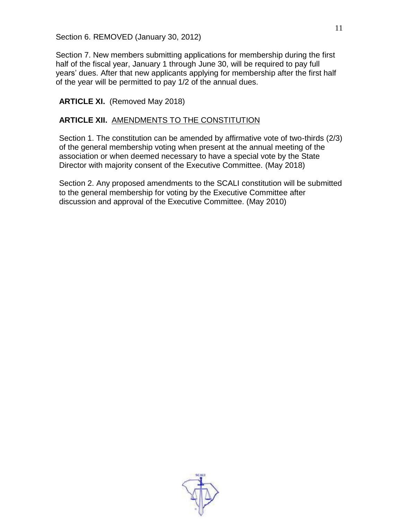Section 6. REMOVED (January 30, 2012)

Section 7. New members submitting applications for membership during the first half of the fiscal year, January 1 through June 30, will be required to pay full years' dues. After that new applicants applying for membership after the first half of the year will be permitted to pay 1/2 of the annual dues.

#### **ARTICLE XI.** (Removed May 2018)

#### **ARTICLE XII.** AMENDMENTS TO THE CONSTITUTION

Section 1. The constitution can be amended by affirmative vote of two-thirds (2/3) of the general membership voting when present at the annual meeting of the association or when deemed necessary to have a special vote by the State Director with majority consent of the Executive Committee. (May 2018)

Section 2. Any proposed amendments to the SCALI constitution will be submitted to the general membership for voting by the Executive Committee after discussion and approval of the Executive Committee. (May 2010)

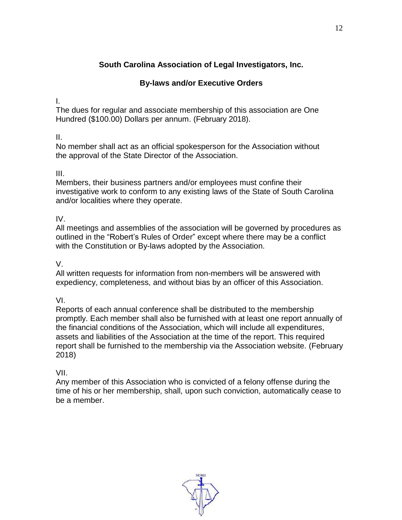## **South Carolina Association of Legal Investigators, Inc.**

## **By-laws and/or Executive Orders**

I.

The dues for regular and associate membership of this association are One Hundred (\$100.00) Dollars per annum. (February 2018).

## II.

No member shall act as an official spokesperson for the Association without the approval of the State Director of the Association.

## III.

Members, their business partners and/or employees must confine their investigative work to conform to any existing laws of the State of South Carolina and/or localities where they operate.

## IV.

All meetings and assemblies of the association will be governed by procedures as outlined in the "Robert's Rules of Order" except where there may be a conflict with the Constitution or By-laws adopted by the Association.

## V.

All written requests for information from non-members will be answered with expediency, completeness, and without bias by an officer of this Association.

VI.

Reports of each annual conference shall be distributed to the membership promptly. Each member shall also be furnished with at least one report annually of the financial conditions of the Association, which will include all expenditures, assets and liabilities of the Association at the time of the report. This required report shall be furnished to the membership via the Association website. (February 2018)

## VII.

Any member of this Association who is convicted of a felony offense during the time of his or her membership, shall, upon such conviction, automatically cease to be a member.

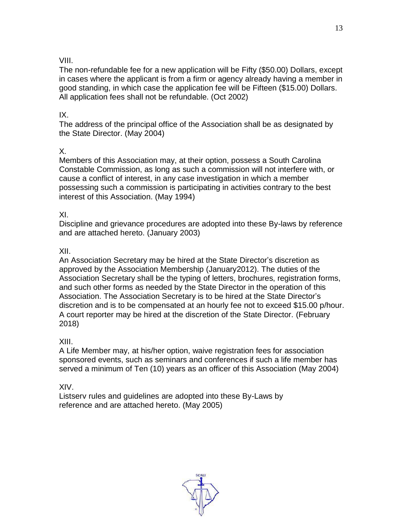#### VIII.

The non-refundable fee for a new application will be Fifty (\$50.00) Dollars, except in cases where the applicant is from a firm or agency already having a member in good standing, in which case the application fee will be Fifteen (\$15.00) Dollars. All application fees shall not be refundable. (Oct 2002)

#### IX.

The address of the principal office of the Association shall be as designated by the State Director. (May 2004)

## X.

Members of this Association may, at their option, possess a South Carolina Constable Commission, as long as such a commission will not interfere with, or cause a conflict of interest, in any case investigation in which a member possessing such a commission is participating in activities contrary to the best interest of this Association. (May 1994)

## XI.

Discipline and grievance procedures are adopted into these By-laws by reference and are attached hereto. (January 2003)

## XII.

An Association Secretary may be hired at the State Director's discretion as approved by the Association Membership (January2012). The duties of the Association Secretary shall be the typing of letters, brochures, registration forms, and such other forms as needed by the State Director in the operation of this Association. The Association Secretary is to be hired at the State Director's discretion and is to be compensated at an hourly fee not to exceed \$15.00 p/hour. A court reporter may be hired at the discretion of the State Director. (February 2018)

## XIII.

A Life Member may, at his/her option, waive registration fees for association sponsored events, such as seminars and conferences if such a life member has served a minimum of Ten (10) years as an officer of this Association (May 2004)

XIV.

Listserv rules and guidelines are adopted into these By-Laws by reference and are attached hereto. (May 2005)

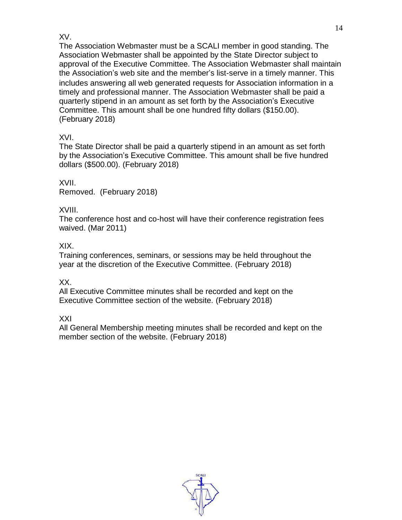## XV.

The Association Webmaster must be a SCALI member in good standing. The Association Webmaster shall be appointed by the State Director subject to approval of the Executive Committee. The Association Webmaster shall maintain the Association's web site and the member's list-serve in a timely manner. This includes answering all web generated requests for Association information in a timely and professional manner. The Association Webmaster shall be paid a quarterly stipend in an amount as set forth by the Association's Executive Committee. This amount shall be one hundred fifty dollars (\$150.00). (February 2018)

XVI.

The State Director shall be paid a quarterly stipend in an amount as set forth by the Association's Executive Committee. This amount shall be five hundred dollars (\$500.00). (February 2018)

XVII. Removed. (February 2018)

XVIII.

The conference host and co-host will have their conference registration fees waived. (Mar 2011)

XIX.

Training conferences, seminars, or sessions may be held throughout the year at the discretion of the Executive Committee. (February 2018)

XX.

All Executive Committee minutes shall be recorded and kept on the Executive Committee section of the website. (February 2018)

XXI

All General Membership meeting minutes shall be recorded and kept on the member section of the website. (February 2018)

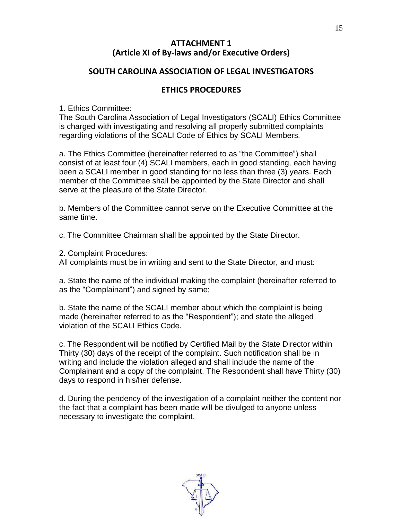#### **ATTACHMENT 1 (Article XI of By-laws and/or Executive Orders)**

#### **SOUTH CAROLINA ASSOCIATION OF LEGAL INVESTIGATORS**

#### **ETHICS PROCEDURES**

1. Ethics Committee:

The South Carolina Association of Legal Investigators (SCALI) Ethics Committee is charged with investigating and resolving all properly submitted complaints regarding violations of the SCALI Code of Ethics by SCALI Members.

a. The Ethics Committee (hereinafter referred to as "the Committee") shall consist of at least four (4) SCALI members, each in good standing, each having been a SCALI member in good standing for no less than three (3) years. Each member of the Committee shall be appointed by the State Director and shall serve at the pleasure of the State Director.

b. Members of the Committee cannot serve on the Executive Committee at the same time.

c. The Committee Chairman shall be appointed by the State Director.

2. Complaint Procedures:

All complaints must be in writing and sent to the State Director, and must:

a. State the name of the individual making the complaint (hereinafter referred to as the "Complainant") and signed by same;

b. State the name of the SCALI member about which the complaint is being made (hereinafter referred to as the "Respondent"); and state the alleged violation of the SCALI Ethics Code.

c. The Respondent will be notified by Certified Mail by the State Director within Thirty (30) days of the receipt of the complaint. Such notification shall be in writing and include the violation alleged and shall include the name of the Complainant and a copy of the complaint. The Respondent shall have Thirty (30) days to respond in his/her defense.

d. During the pendency of the investigation of a complaint neither the content nor the fact that a complaint has been made will be divulged to anyone unless necessary to investigate the complaint.

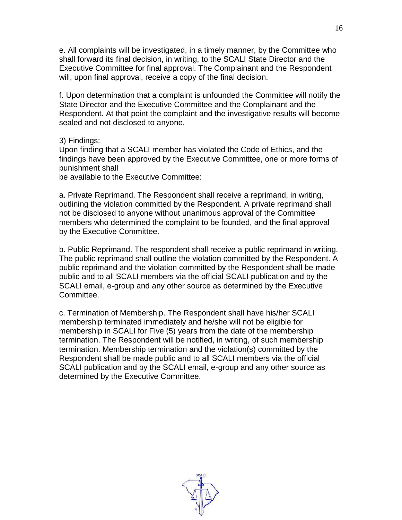e. All complaints will be investigated, in a timely manner, by the Committee who shall forward its final decision, in writing, to the SCALI State Director and the Executive Committee for final approval. The Complainant and the Respondent will, upon final approval, receive a copy of the final decision.

f. Upon determination that a complaint is unfounded the Committee will notify the State Director and the Executive Committee and the Complainant and the Respondent. At that point the complaint and the investigative results will become sealed and not disclosed to anyone.

3) Findings:

Upon finding that a SCALI member has violated the Code of Ethics, and the findings have been approved by the Executive Committee, one or more forms of punishment shall

be available to the Executive Committee:

a. Private Reprimand. The Respondent shall receive a reprimand, in writing, outlining the violation committed by the Respondent. A private reprimand shall not be disclosed to anyone without unanimous approval of the Committee members who determined the complaint to be founded, and the final approval by the Executive Committee.

b. Public Reprimand. The respondent shall receive a public reprimand in writing. The public reprimand shall outline the violation committed by the Respondent. A public reprimand and the violation committed by the Respondent shall be made public and to all SCALI members via the official SCALI publication and by the SCALI email, e-group and any other source as determined by the Executive Committee.

c. Termination of Membership. The Respondent shall have his/her SCALI membership terminated immediately and he/she will not be eligible for membership in SCALI for Five (5) years from the date of the membership termination. The Respondent will be notified, in writing, of such membership termination. Membership termination and the violation(s) committed by the Respondent shall be made public and to all SCALI members via the official SCALI publication and by the SCALI email, e-group and any other source as determined by the Executive Committee.

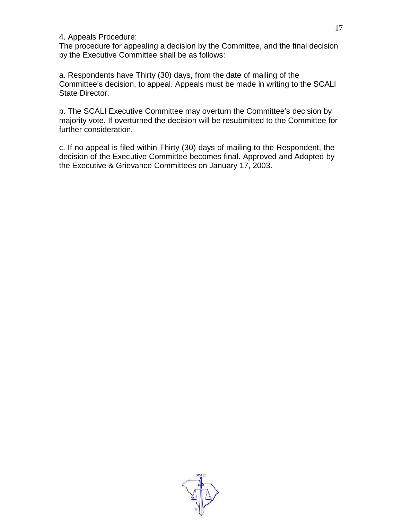#### 4. Appeals Procedure:

The procedure for appealing a decision by the Committee, and the final decision by the Executive Committee shall be as follows:

a. Respondents have Thirty (30) days, from the date of mailing of the Committee's decision, to appeal. Appeals must be made in writing to the SCALI State Director.

b. The SCALI Executive Committee may overturn the Committee's decision by majority vote. If overturned the decision will be resubmitted to the Committee for further consideration.

c. If no appeal is filed within Thirty (30) days of mailing to the Respondent, the decision of the Executive Committee becomes final. Approved and Adopted by the Executive & Grievance Committees on January 17, 2003.